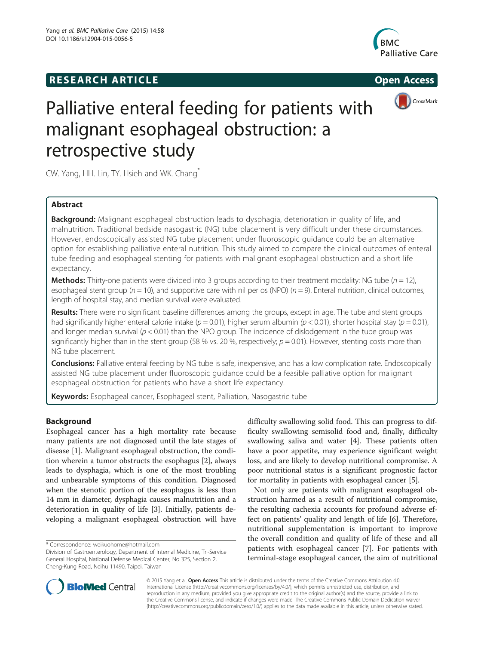# **RESEARCH ARTICLE Example 2014 CONSIDERING CONSIDERING CONSIDERING CONSIDERING CONSIDERING CONSIDERING CONSIDERING CONSIDERING CONSIDERING CONSIDERING CONSIDERING CONSIDERING CONSIDERING CONSIDERING CONSIDERING CONSIDE**





# Palliative enteral feeding for patients with malignant esophageal obstruction: a retrospective study

CW. Yang, HH. Lin, TY. Hsieh and WK. Chang\*

# Abstract

Background: Malignant esophageal obstruction leads to dysphagia, deterioration in quality of life, and malnutrition. Traditional bedside nasogastric (NG) tube placement is very difficult under these circumstances. However, endoscopically assisted NG tube placement under fluoroscopic guidance could be an alternative option for establishing palliative enteral nutrition. This study aimed to compare the clinical outcomes of enteral tube feeding and esophageal stenting for patients with malignant esophageal obstruction and a short life expectancy.

**Methods:** Thirty-one patients were divided into 3 groups according to their treatment modality: NG tube ( $n = 12$ ), esophageal stent group ( $n = 10$ ), and supportive care with nil per os (NPO) ( $n = 9$ ). Enteral nutrition, clinical outcomes, length of hospital stay, and median survival were evaluated.

Results: There were no significant baseline differences among the groups, except in age. The tube and stent groups had significantly higher enteral calorie intake ( $p = 0.01$ ), higher serum albumin ( $p < 0.01$ ), shorter hospital stay ( $p = 0.01$ ), and longer median survival ( $p < 0.01$ ) than the NPO group. The incidence of dislodgement in the tube group was significantly higher than in the stent group (58 % vs. 20 %, respectively;  $p = 0.01$ ). However, stenting costs more than NG tube placement.

**Conclusions:** Palliative enteral feeding by NG tube is safe, inexpensive, and has a low complication rate. Endoscopically assisted NG tube placement under fluoroscopic guidance could be a feasible palliative option for malignant esophageal obstruction for patients who have a short life expectancy.

Keywords: Esophageal cancer, Esophageal stent, Palliation, Nasogastric tube

# Background

Esophageal cancer has a high mortality rate because many patients are not diagnosed until the late stages of disease [\[1](#page-7-0)]. Malignant esophageal obstruction, the condition wherein a tumor obstructs the esophagus [\[2\]](#page-7-0), always leads to dysphagia, which is one of the most troubling and unbearable symptoms of this condition. Diagnosed when the stenotic portion of the esophagus is less than 14 mm in diameter, dysphagia causes malnutrition and a deterioration in quality of life [\[3](#page-7-0)]. Initially, patients developing a malignant esophageal obstruction will have difficulty swallowing solid food. This can progress to difficulty swallowing semisolid food and, finally, difficulty swallowing saliva and water [\[4](#page-7-0)]. These patients often have a poor appetite, may experience significant weight loss, and are likely to develop nutritional compromise. A poor nutritional status is a significant prognostic factor for mortality in patients with esophageal cancer [\[5](#page-7-0)].

Not only are patients with malignant esophageal obstruction harmed as a result of nutritional compromise, the resulting cachexia accounts for profound adverse effect on patients' quality and length of life [[6\]](#page-7-0). Therefore, nutritional supplementation is important to improve the overall condition and quality of life of these and all patients with esophageal cancer [\[7](#page-7-0)]. For patients with terminal-stage esophageal cancer, the aim of nutritional



© 2015 Yang et al. Open Access This article is distributed under the terms of the Creative Commons Attribution 4.0 International License [\(http://creativecommons.org/licenses/by/4.0/](http://creativecommons.org/licenses/by/4.0/)), which permits unrestricted use, distribution, and reproduction in any medium, provided you give appropriate credit to the original author(s) and the source, provide a link to the Creative Commons license, and indicate if changes were made. The Creative Commons Public Domain Dedication waiver [\(http://creativecommons.org/publicdomain/zero/1.0/](http://creativecommons.org/publicdomain/zero/1.0/)) applies to the data made available in this article, unless otherwise stated.

<sup>\*</sup> Correspondence: [weikuohome@hotmail.com](mailto:weikuohome@hotmail.com)

Division of Gastroenterology, Department of Internal Medicine, Tri-Service General Hospital, National Defense Medical Center, No 325, Section 2, Cheng-Kung Road, Neihu 11490, Taipei, Taiwan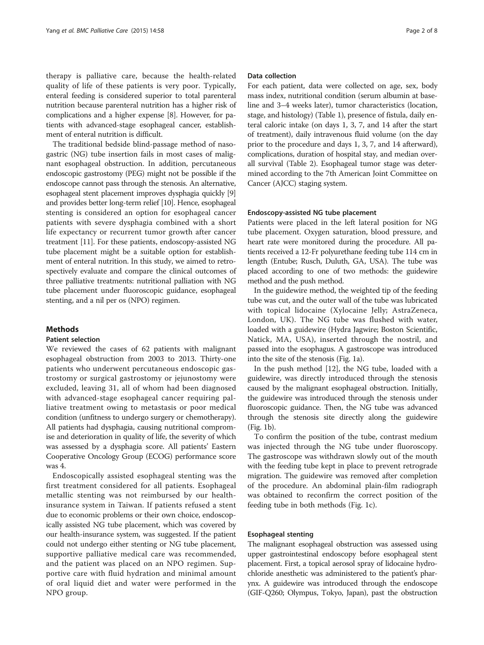therapy is palliative care, because the health-related quality of life of these patients is very poor. Typically, enteral feeding is considered superior to total parenteral nutrition because parenteral nutrition has a higher risk of complications and a higher expense [[8\]](#page-7-0). However, for patients with advanced-stage esophageal cancer, establishment of enteral nutrition is difficult.

The traditional bedside blind-passage method of nasogastric (NG) tube insertion fails in most cases of malignant esophageal obstruction. In addition, percutaneous endoscopic gastrostomy (PEG) might not be possible if the endoscope cannot pass through the stenosis. An alternative, esophageal stent placement improves dysphagia quickly [[9](#page-7-0)] and provides better long-term relief [\[10\]](#page-7-0). Hence, esophageal stenting is considered an option for esophageal cancer patients with severe dysphagia combined with a short life expectancy or recurrent tumor growth after cancer treatment [\[11\]](#page-7-0). For these patients, endoscopy-assisted NG tube placement might be a suitable option for establishment of enteral nutrition. In this study, we aimed to retrospectively evaluate and compare the clinical outcomes of three palliative treatments: nutritional palliation with NG tube placement under fluoroscopic guidance, esophageal stenting, and a nil per os (NPO) regimen.

# Methods

#### Patient selection

We reviewed the cases of 62 patients with malignant esophageal obstruction from 2003 to 2013. Thirty-one patients who underwent percutaneous endoscopic gastrostomy or surgical gastrostomy or jejunostomy were excluded, leaving 31, all of whom had been diagnosed with advanced-stage esophageal cancer requiring palliative treatment owing to metastasis or poor medical condition (unfitness to undergo surgery or chemotherapy). All patients had dysphagia, causing nutritional compromise and deterioration in quality of life, the severity of which was assessed by a dysphagia score. All patients' Eastern Cooperative Oncology Group (ECOG) performance score was 4.

Endoscopically assisted esophageal stenting was the first treatment considered for all patients. Esophageal metallic stenting was not reimbursed by our healthinsurance system in Taiwan. If patients refused a stent due to economic problems or their own choice, endoscopically assisted NG tube placement, which was covered by our health-insurance system, was suggested. If the patient could not undergo either stenting or NG tube placement, supportive palliative medical care was recommended, and the patient was placed on an NPO regimen. Supportive care with fluid hydration and minimal amount of oral liquid diet and water were performed in the NPO group.

#### Data collection

For each patient, data were collected on age, sex, body mass index, nutritional condition (serum albumin at baseline and 3–4 weeks later), tumor characteristics (location, stage, and histology) (Table [1](#page-2-0)), presence of fistula, daily enteral caloric intake (on days 1, 3, 7, and 14 after the start of treatment), daily intravenous fluid volume (on the day prior to the procedure and days 1, 3, 7, and 14 afterward), complications, duration of hospital stay, and median overall survival (Table [2](#page-2-0)). Esophageal tumor stage was determined according to the 7th American Joint Committee on Cancer (AJCC) staging system.

#### Endoscopy-assisted NG tube placement

Patients were placed in the left lateral position for NG tube placement. Oxygen saturation, blood pressure, and heart rate were monitored during the procedure. All patients received a 12-Fr polyurethane feeding tube 114 cm in length (Entube; Rusch, Duluth, GA, USA). The tube was placed according to one of two methods: the guidewire method and the push method.

In the guidewire method, the weighted tip of the feeding tube was cut, and the outer wall of the tube was lubricated with topical lidocaine (Xylocaine Jelly; AstraZeneca, London, UK). The NG tube was flushed with water, loaded with a guidewire (Hydra Jagwire; Boston Scientific, Natick, MA, USA), inserted through the nostril, and passed into the esophagus. A gastroscope was introduced into the site of the stenosis (Fig. [1a](#page-3-0)).

In the push method [[12\]](#page-7-0), the NG tube, loaded with a guidewire, was directly introduced through the stenosis caused by the malignant esophageal obstruction. Initially, the guidewire was introduced through the stenosis under fluoroscopic guidance. Then, the NG tube was advanced through the stenosis site directly along the guidewire (Fig. [1b](#page-3-0)).

To confirm the position of the tube, contrast medium was injected through the NG tube under fluoroscopy. The gastroscope was withdrawn slowly out of the mouth with the feeding tube kept in place to prevent retrograde migration. The guidewire was removed after completion of the procedure. An abdominal plain-film radiograph was obtained to reconfirm the correct position of the feeding tube in both methods (Fig. [1c\)](#page-3-0).

#### Esophageal stenting

The malignant esophageal obstruction was assessed using upper gastrointestinal endoscopy before esophageal stent placement. First, a topical aerosol spray of lidocaine hydrochloride anesthetic was administered to the patient's pharynx. A guidewire was introduced through the endoscope (GIF-Q260; Olympus, Tokyo, Japan), past the obstruction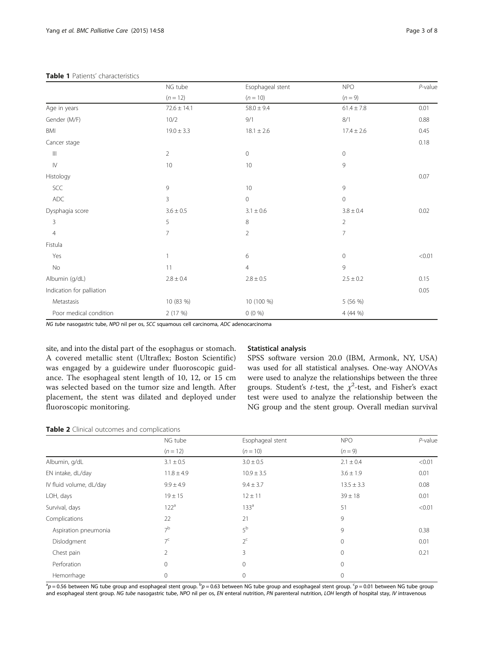<span id="page-2-0"></span>

|                                    | NG tube<br>$(n = 12)$ | Esophageal stent<br>$(n = 10)$ | <b>NPO</b><br>$(n = 9)$ | $P$ -value |
|------------------------------------|-----------------------|--------------------------------|-------------------------|------------|
|                                    |                       |                                |                         |            |
| Age in years                       | $72.6 \pm 14.1$       | $58.0 \pm 9.4$                 | $61.4 \pm 7.8$          | 0.01       |
| Gender (M/F)                       | 10/2                  | 9/1                            | 8/1                     | 0.88       |
| BMI                                | $19.0 \pm 3.3$        | $18.1 \pm 2.6$                 | $17.4 \pm 2.6$          | 0.45       |
| Cancer stage                       |                       |                                |                         | 0.18       |
| $\ensuremath{\mathsf{III}}\xspace$ | $\overline{2}$        | $\mathbf 0$                    | $\mathbf{0}$            |            |
| ${\sf IV}$                         | 10                    | 10                             | 9                       |            |
| Histology                          |                       |                                |                         | 0.07       |
| SCC                                | 9                     | 10                             | 9                       |            |
| ADC                                | 3                     | $\mathsf{O}\xspace$            | $\mathbf{0}$            |            |
| Dysphagia score                    | $3.6 \pm 0.5$         | $3.1 \pm 0.6$                  | $3.8 \pm 0.4$           | 0.02       |
| 3                                  | 5                     | $\,8\,$                        | $\overline{2}$          |            |
| $\overline{4}$                     | 7                     | $\overline{2}$                 | $\overline{7}$          |            |
| Fistula                            |                       |                                |                         |            |
| Yes                                |                       | 6                              | $\mathbf 0$             | < 0.01     |
| No                                 | 11                    | $\overline{4}$                 | 9                       |            |
| Albumin (g/dL)                     | $2.8 \pm 0.4$         | $2.8 \pm 0.5$                  | $2.5 \pm 0.2$           | 0.15       |
| Indication for palliation          |                       |                                |                         | 0.05       |
| Metastasis                         | 10 (83 %)             | 10 (100 %)                     | 5 (56 %)                |            |
| Poor medical condition             | 2 (17 %)              | $0(0\%)$                       | 4 (44 %)                |            |

NG tube nasogastric tube, NPO nil per os, SCC squamous cell carcinoma, ADC adenocarcinoma

site, and into the distal part of the esophagus or stomach. A covered metallic stent (Ultraflex; Boston Scientific) was engaged by a guidewire under fluoroscopic guidance. The esophageal stent length of 10, 12, or 15 cm was selected based on the tumor size and length. After placement, the stent was dilated and deployed under fluoroscopic monitoring.

# Statistical analysis

SPSS software version 20.0 (IBM, Armonk, NY, USA) was used for all statistical analyses. One-way ANOVAs were used to analyze the relationships between the three groups. Student's *t*-test, the  $\chi^2$ -test, and Fisher's exact test were used to analyze the relationship between the NG group and the stent group. Overall median survival

| Table 2 Clinical outcomes and complications |  |  |
|---------------------------------------------|--|--|
|---------------------------------------------|--|--|

|                         | NG tube<br>$(n = 12)$ | Esophageal stent<br>$(n = 10)$ | <b>NPO</b><br>$(n = 9)$ | $P$ -value |
|-------------------------|-----------------------|--------------------------------|-------------------------|------------|
|                         |                       |                                |                         |            |
| Albumin, g/dL           | $3.1 \pm 0.5$         | $3.0 \pm 0.5$                  | $2.1 \pm 0.4$           | < 0.01     |
| EN intake, dL/day       | $11.8 \pm 4.9$        | $10.9 \pm 3.5$                 | $3.6 \pm 1.9$           | 0.01       |
| IV fluid volume, dL/day | $9.9 \pm 4.9$         | $9.4 \pm 3.7$                  | $13.5 \pm 3.3$          | 0.08       |
| LOH, days               | $19 \pm 15$           | $12 \pm 11$                    | $39 \pm 18$             | 0.01       |
| Survival, days          | 122 <sup>a</sup>      | 133 <sup>a</sup>               | 51                      | < 0.01     |
| Complications           | 22                    | 21                             | 9                       |            |
| Aspiration pneumonia    | 7 <sup>b</sup>        | 5 <sup>b</sup>                 | 9                       | 0.38       |
| Dislodgment             | 7 <sup>c</sup>        | $2^{\mathsf{c}}$               | $\mathbf 0$             | 0.01       |
| Chest pain              | $\overline{2}$        | 3                              | 0                       | 0.21       |
| Perforation             | 0                     | $\mathbf{0}$                   | 0                       |            |
| Hemorrhage              | $\mathbf 0$           | $\mathbf{0}$                   | 0                       |            |

 $^{\rm a}$ p = 0.56 between NG tube group and esophageal stent group.  $^{\rm b}$ p = 0.63 between NG tube group and esophageal stent group.  $^{\rm c}$ p = 0.01 between NG tube group and esophageal stent group. NG tube nasogastric tube, NPO nil per os, EN enteral nutrition, PN parenteral nutrition, LOH length of hospital stay, IV intravenous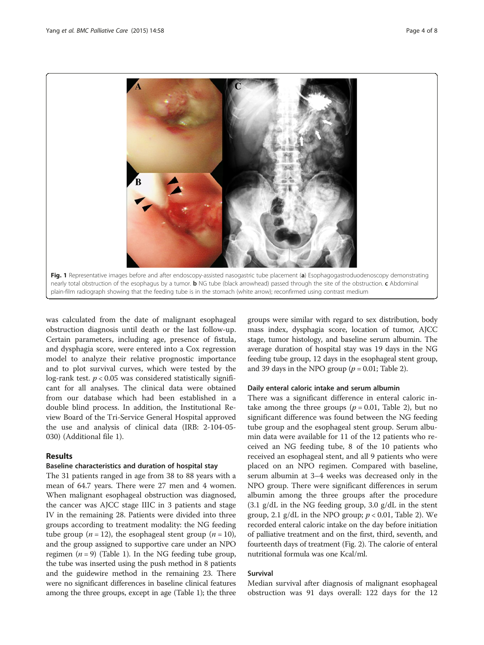<span id="page-3-0"></span>

was calculated from the date of malignant esophageal obstruction diagnosis until death or the last follow-up. Certain parameters, including age, presence of fistula, and dysphagia score, were entered into a Cox regression model to analyze their relative prognostic importance and to plot survival curves, which were tested by the log-rank test.  $p < 0.05$  was considered statistically significant for all analyses. The clinical data were obtained from our database which had been established in a double blind process. In addition, the Institutional Review Board of the Tri-Service General Hospital approved the use and analysis of clinical data (IRB: 2-104-05- 030) (Additional file [1](#page-6-0)).

# Results

# Baseline characteristics and duration of hospital stay

The 31 patients ranged in age from 38 to 88 years with a mean of 64.7 years. There were 27 men and 4 women. When malignant esophageal obstruction was diagnosed, the cancer was AJCC stage IIIC in 3 patients and stage IV in the remaining 28. Patients were divided into three groups according to treatment modality: the NG feeding tube group ( $n = 12$ ), the esophageal stent group ( $n = 10$ ), and the group assigned to supportive care under an NPO regimen ( $n = 9$ ) (Table [1\)](#page-2-0). In the NG feeding tube group, the tube was inserted using the push method in 8 patients and the guidewire method in the remaining 23. There were no significant differences in baseline clinical features among the three groups, except in age (Table [1](#page-2-0)); the three groups were similar with regard to sex distribution, body mass index, dysphagia score, location of tumor, AJCC stage, tumor histology, and baseline serum albumin. The average duration of hospital stay was 19 days in the NG feeding tube group, 12 days in the esophageal stent group, and 39 days in the NPO group ( $p = 0.01$ ; Table [2](#page-2-0)).

#### Daily enteral caloric intake and serum albumin

There was a significant difference in enteral caloric intake among the three groups ( $p = 0.01$ , Table [2](#page-2-0)), but no significant difference was found between the NG feeding tube group and the esophageal stent group. Serum albumin data were available for 11 of the 12 patients who received an NG feeding tube, 8 of the 10 patients who received an esophageal stent, and all 9 patients who were placed on an NPO regimen. Compared with baseline, serum albumin at 3–4 weeks was decreased only in the NPO group. There were significant differences in serum albumin among the three groups after the procedure  $(3.1 \text{ g/dL}$  in the NG feeding group, 3.0 g/dL in the stent group, 2.1 g/dL in the NPO group;  $p < 0.01$ , Table [2\)](#page-2-0). We recorded enteral caloric intake on the day before initiation of palliative treatment and on the first, third, seventh, and fourteenth days of treatment (Fig. [2\)](#page-4-0). The calorie of enteral nutritional formula was one Kcal/ml.

#### Survival

Median survival after diagnosis of malignant esophageal obstruction was 91 days overall: 122 days for the 12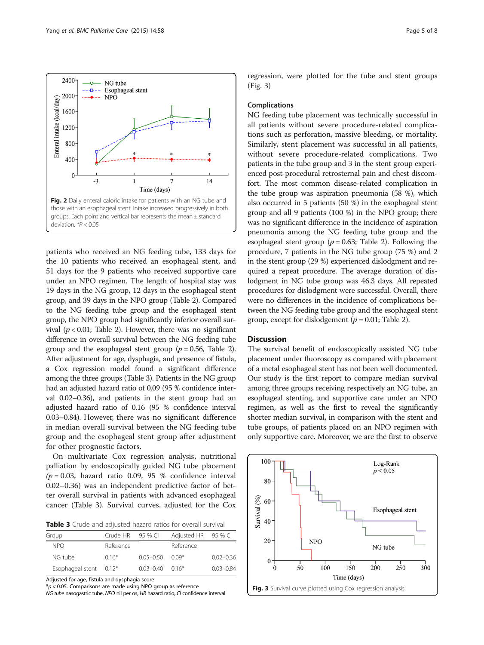<span id="page-4-0"></span>

patients who received an NG feeding tube, 133 days for the 10 patients who received an esophageal stent, and 51 days for the 9 patients who received supportive care under an NPO regimen. The length of hospital stay was 19 days in the NG group, 12 days in the esophageal stent group, and 39 days in the NPO group (Table [2](#page-2-0)). Compared to the NG feeding tube group and the esophageal stent group, the NPO group had significantly inferior overall survival ( $p < 0.01$ ; Table [2](#page-2-0)). However, there was no significant difference in overall survival between the NG feeding tube group and the esophageal stent group ( $p = 0.56$ , Table [2](#page-2-0)). After adjustment for age, dysphagia, and presence of fistula, a Cox regression model found a significant difference among the three groups (Table 3). Patients in the NG group had an adjusted hazard ratio of 0.09 (95 % confidence interval 0.02–0.36), and patients in the stent group had an adjusted hazard ratio of 0.16 (95 % confidence interval 0.03–0.84). However, there was no significant difference in median overall survival between the NG feeding tube group and the esophageal stent group after adjustment for other prognostic factors.

On multivariate Cox regression analysis, nutritional palliation by endoscopically guided NG tube placement  $(p = 0.03,$  hazard ratio 0.09, 95 % confidence interval 0.02–0.36) was an independent predictive factor of better overall survival in patients with advanced esophageal cancer (Table 3). Survival curves, adjusted for the Cox

Table 3 Crude and adjusted hazard ratios for overall survival

| Group                  | Crude $HR$ 95 % CI |                       | Adjusted HR 95 % CI |               |
|------------------------|--------------------|-----------------------|---------------------|---------------|
| <b>NPO</b>             | Reference          |                       | Reference           |               |
| NG tube                | $0.16*$            | $0.05 - 0.50$         | $0.09*$             | $0.02 - 0.36$ |
| Esophageal stent 0.12* |                    | $0.03 - 0.40$ $0.16*$ |                     | $0.03 - 0.84$ |

Adjusted for age, fistula and dysphagia score

 $p$  < 0.05. Comparisons are made using NPO group as reference

regression, were plotted for the tube and stent groups (Fig. 3)

#### Complications

NG feeding tube placement was technically successful in all patients without severe procedure-related complications such as perforation, massive bleeding, or mortality. Similarly, stent placement was successful in all patients, without severe procedure-related complications. Two patients in the tube group and 3 in the stent group experienced post-procedural retrosternal pain and chest discomfort. The most common disease-related complication in the tube group was aspiration pneumonia (58 %), which also occurred in 5 patients (50 %) in the esophageal stent group and all 9 patients (100 %) in the NPO group; there was no significant difference in the incidence of aspiration pneumonia among the NG feeding tube group and the esophageal stent group ( $p = 0.63$ ; Table [2\)](#page-2-0). Following the procedure, 7 patients in the NG tube group (75 %) and 2 in the stent group (29 %) experienced dislodgment and required a repeat procedure. The average duration of dislodgment in NG tube group was 46.3 days. All repeated procedures for dislodgment were successful. Overall, there were no differences in the incidence of complications between the NG feeding tube group and the esophageal stent group, except for dislodgement ( $p = 0.01$ ; Table [2](#page-2-0)).

# **Discussion**

The survival benefit of endoscopically assisted NG tube placement under fluoroscopy as compared with placement of a metal esophageal stent has not been well documented. Our study is the first report to compare median survival among three groups receiving respectively an NG tube, an esophageal stenting, and supportive care under an NPO regimen, as well as the first to reveal the significantly shorter median survival, in comparison with the stent and tube groups, of patients placed on an NPO regimen with only supportive care. Moreover, we are the first to observe

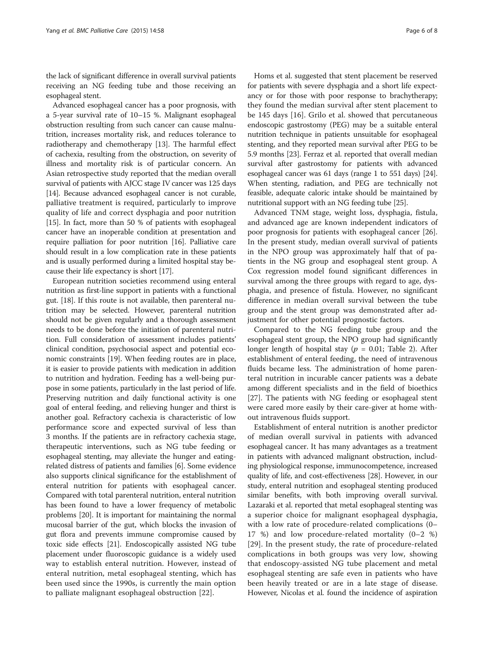the lack of significant difference in overall survival patients receiving an NG feeding tube and those receiving an esophageal stent.

Advanced esophageal cancer has a poor prognosis, with a 5-year survival rate of 10–15 %. Malignant esophageal obstruction resulting from such cancer can cause malnutrition, increases mortality risk, and reduces tolerance to radiotherapy and chemotherapy [\[13\]](#page-7-0). The harmful effect of cachexia, resulting from the obstruction, on severity of illness and mortality risk is of particular concern. An Asian retrospective study reported that the median overall survival of patients with AJCC stage IV cancer was 125 days [[14](#page-7-0)]. Because advanced esophageal cancer is not curable, palliative treatment is required, particularly to improve quality of life and correct dysphagia and poor nutrition [[15](#page-7-0)]. In fact, more than 50 % of patients with esophageal cancer have an inoperable condition at presentation and require palliation for poor nutrition [\[16\]](#page-7-0). Palliative care should result in a low complication rate in these patients and is usually performed during a limited hospital stay because their life expectancy is short [[17](#page-7-0)].

European nutrition societies recommend using enteral nutrition as first-line support in patients with a functional gut. [[18](#page-7-0)]. If this route is not available, then parenteral nutrition may be selected. However, parenteral nutrition should not be given regularly and a thorough assessment needs to be done before the initiation of parenteral nutrition. Full consideration of assessment includes patients' clinical condition, psychosocial aspect and potential economic constraints [\[19\]](#page-7-0). When feeding routes are in place, it is easier to provide patients with medication in addition to nutrition and hydration. Feeding has a well-being purpose in some patients, particularly in the last period of life. Preserving nutrition and daily functional activity is one goal of enteral feeding, and relieving hunger and thirst is another goal. Refractory cachexia is characteristic of low performance score and expected survival of less than 3 months. If the patients are in refractory cachexia stage, therapeutic interventions, such as NG tube feeding or esophageal stenting, may alleviate the hunger and eatingrelated distress of patients and families [\[6\]](#page-7-0). Some evidence also supports clinical significance for the establishment of enteral nutrition for patients with esophageal cancer. Compared with total parenteral nutrition, enteral nutrition has been found to have a lower frequency of metabolic problems [\[20\]](#page-7-0). It is important for maintaining the normal mucosal barrier of the gut, which blocks the invasion of gut flora and prevents immune compromise caused by toxic side effects [[21](#page-7-0)]. Endoscopically assisted NG tube placement under fluoroscopic guidance is a widely used way to establish enteral nutrition. However, instead of enteral nutrition, metal esophageal stenting, which has been used since the 1990s, is currently the main option to palliate malignant esophageal obstruction [\[22](#page-7-0)].

Homs et al. suggested that stent placement be reserved for patients with severe dysphagia and a short life expectancy or for those with poor response to brachytherapy; they found the median survival after stent placement to be 145 days [[16\]](#page-7-0). Grilo et al. showed that percutaneous endoscopic gastrostomy (PEG) may be a suitable enteral nutrition technique in patients unsuitable for esophageal stenting, and they reported mean survival after PEG to be 5.9 months [[23](#page-7-0)]. Ferraz et al. reported that overall median survival after gastrostomy for patients with advanced esophageal cancer was 61 days (range 1 to 551 days) [[24](#page-7-0)]. When stenting, radiation, and PEG are technically not feasible, adequate caloric intake should be maintained by nutritional support with an NG feeding tube [\[25](#page-7-0)].

Advanced TNM stage, weight loss, dysphagia, fistula, and advanced age are known independent indicators of poor prognosis for patients with esophageal cancer [\[26](#page-7-0)]. In the present study, median overall survival of patients in the NPO group was approximately half that of patients in the NG group and esophageal stent group. A Cox regression model found significant differences in survival among the three groups with regard to age, dysphagia, and presence of fistula. However, no significant difference in median overall survival between the tube group and the stent group was demonstrated after adjustment for other potential prognostic factors.

Compared to the NG feeding tube group and the esophageal stent group, the NPO group had significantly longer length of hospital stay ( $p = 0.01$ ; Table [2](#page-2-0)). After establishment of enteral feeding, the need of intravenous fluids became less. The administration of home parenteral nutrition in incurable cancer patients was a debate among different specialists and in the field of bioethics [[27\]](#page-7-0). The patients with NG feeding or esophageal stent were cared more easily by their care-giver at home without intravenous fluids support.

Establishment of enteral nutrition is another predictor of median overall survival in patients with advanced esophageal cancer. It has many advantages as a treatment in patients with advanced malignant obstruction, including physiological response, immunocompetence, increased quality of life, and cost-effectiveness [[28](#page-7-0)]. However, in our study, enteral nutrition and esophageal stenting produced similar benefits, with both improving overall survival. Lazaraki et al. reported that metal esophageal stenting was a superior choice for malignant esophageal dysphagia, with a low rate of procedure-related complications (0– 17 %) and low procedure-related mortality (0–2 %) [[29](#page-7-0)]. In the present study, the rate of procedure-related complications in both groups was very low, showing that endoscopy-assisted NG tube placement and metal esophageal stenting are safe even in patients who have been heavily treated or are in a late stage of disease. However, Nicolas et al. found the incidence of aspiration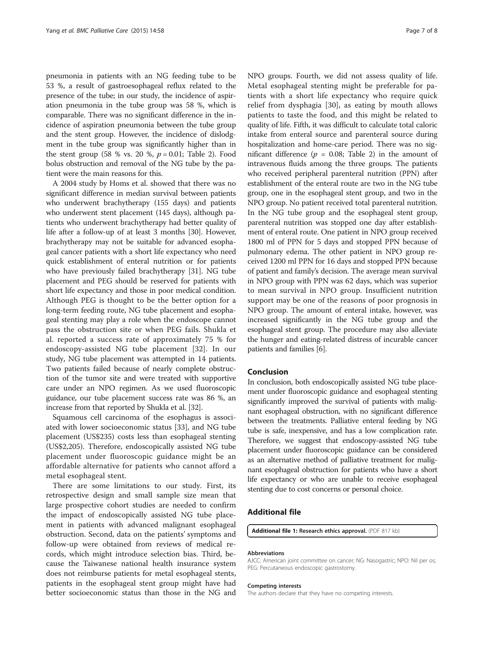<span id="page-6-0"></span>pneumonia in patients with an NG feeding tube to be 53 %, a result of gastroesophageal reflux related to the presence of the tube; in our study, the incidence of aspiration pneumonia in the tube group was 58 %, which is comparable. There was no significant difference in the incidence of aspiration pneumonia between the tube group and the stent group. However, the incidence of dislodgment in the tube group was significantly higher than in the stent group (58 % vs. [2](#page-2-0)0 %,  $p = 0.01$ ; Table 2). Food bolus obstruction and removal of the NG tube by the patient were the main reasons for this.

A 2004 study by Homs et al. showed that there was no significant difference in median survival between patients who underwent brachytherapy (155 days) and patients who underwent stent placement (145 days), although patients who underwent brachytherapy had better quality of life after a follow-up of at least 3 months [[30](#page-7-0)]. However, brachytherapy may not be suitable for advanced esophageal cancer patients with a short life expectancy who need quick establishment of enteral nutrition or for patients who have previously failed brachytherapy [[31\]](#page-7-0). NG tube placement and PEG should be reserved for patients with short life expectancy and those in poor medical condition. Although PEG is thought to be the better option for a long-term feeding route, NG tube placement and esophageal stenting may play a role when the endoscope cannot pass the obstruction site or when PEG fails. Shukla et al. reported a success rate of approximately 75 % for endoscopy-assisted NG tube placement [[32\]](#page-7-0). In our study, NG tube placement was attempted in 14 patients. Two patients failed because of nearly complete obstruction of the tumor site and were treated with supportive care under an NPO regimen. As we used fluoroscopic guidance, our tube placement success rate was 86 %, an increase from that reported by Shukla et al. [[32](#page-7-0)].

Squamous cell carcinoma of the esophagus is associated with lower socioeconomic status [[33\]](#page-7-0), and NG tube placement (US\$235) costs less than esophageal stenting (US\$2,205). Therefore, endoscopically assisted NG tube placement under fluoroscopic guidance might be an affordable alternative for patients who cannot afford a metal esophageal stent.

There are some limitations to our study. First, its retrospective design and small sample size mean that large prospective cohort studies are needed to confirm the impact of endoscopically assisted NG tube placement in patients with advanced malignant esophageal obstruction. Second, data on the patients' symptoms and follow-up were obtained from reviews of medical records, which might introduce selection bias. Third, because the Taiwanese national health insurance system does not reimburse patients for metal esophageal stents, patients in the esophageal stent group might have had better socioeconomic status than those in the NG and NPO groups. Fourth, we did not assess quality of life. Metal esophageal stenting might be preferable for patients with a short life expectancy who require quick relief from dysphagia [[30\]](#page-7-0), as eating by mouth allows patients to taste the food, and this might be related to quality of life. Fifth, it was difficult to calculate total caloric intake from enteral source and parenteral source during hospitalization and home-care period. There was no significant difference ( $p = 0.08$ ; Table [2\)](#page-2-0) in the amount of intravenous fluids among the three groups. The patients who received peripheral parenteral nutrition (PPN) after establishment of the enteral route are two in the NG tube group, one in the esophageal stent group, and two in the NPO group. No patient received total parenteral nutrition. In the NG tube group and the esophageal stent group, parenteral nutrition was stopped one day after establishment of enteral route. One patient in NPO group received 1800 ml of PPN for 5 days and stopped PPN because of pulmonary edema. The other patient in NPO group received 1200 ml PPN for 16 days and stopped PPN because of patient and family's decision. The average mean survival in NPO group with PPN was 62 days, which was superior to mean survival in NPO group. Insufficient nutrition support may be one of the reasons of poor prognosis in NPO group. The amount of enteral intake, however, was increased significantly in the NG tube group and the esophageal stent group. The procedure may also alleviate the hunger and eating-related distress of incurable cancer patients and families [\[6](#page-7-0)].

### Conclusion

In conclusion, both endoscopically assisted NG tube placement under fluoroscopic guidance and esophageal stenting significantly improved the survival of patients with malignant esophageal obstruction, with no significant difference between the treatments. Palliative enteral feeding by NG tube is safe, inexpensive, and has a low complication rate. Therefore, we suggest that endoscopy-assisted NG tube placement under fluoroscopic guidance can be considered as an alternative method of palliative treatment for malignant esophageal obstruction for patients who have a short life expectancy or who are unable to receive esophageal stenting due to cost concerns or personal choice.

# Additional file

[Additional file 1:](dx.doi.org/10.1186/s12904-015-0056-5) Research ethics approval. (PDF 817 kb)

#### Abbreviations

AJCC: American joint committee on cancer; NG: Nasogastric; NPO: Nil per os; PEG: Percutaneous endoscopic gastrostomy.

#### Competing interests

The authors declare that they have no competing interests.